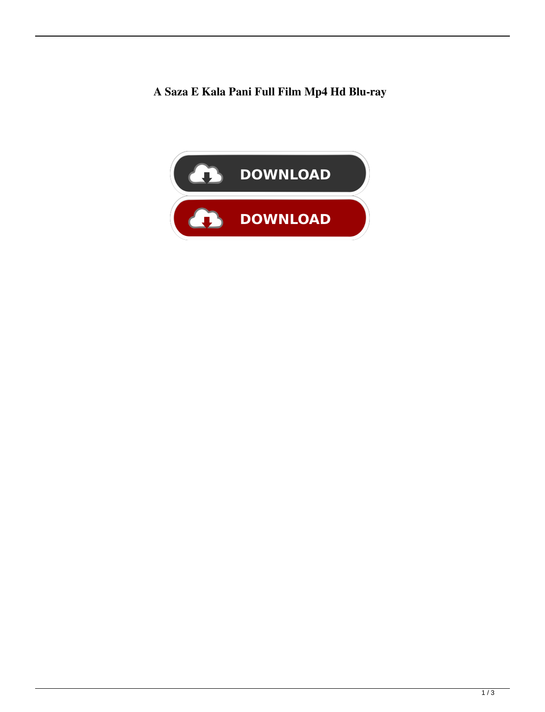## **A Saza E Kala Pani Full Film Mp4 Hd Blu-ray**

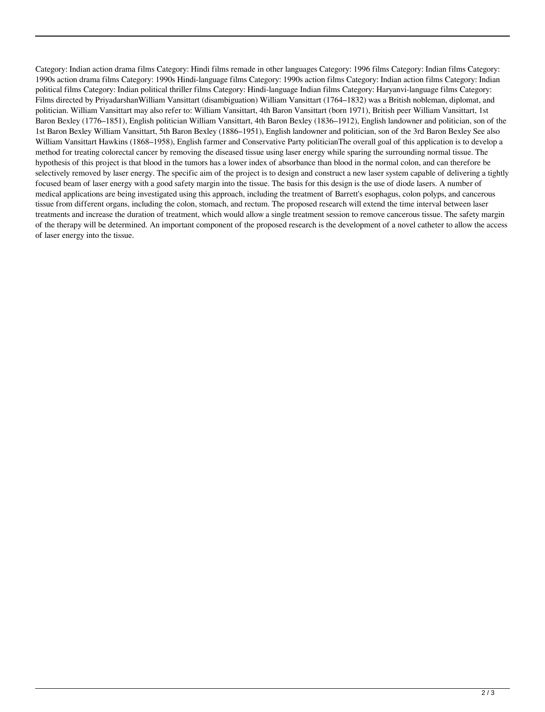Category: Indian action drama films Category: Hindi films remade in other languages Category: 1996 films Category: Indian films Category: 1990s action drama films Category: 1990s Hindi-language films Category: 1990s action films Category: Indian action films Category: Indian political films Category: Indian political thriller films Category: Hindi-language Indian films Category: Haryanvi-language films Category: Films directed by PriyadarshanWilliam Vansittart (disambiguation) William Vansittart (1764–1832) was a British nobleman, diplomat, and politician. William Vansittart may also refer to: William Vansittart, 4th Baron Vansittart (born 1971), British peer William Vansittart, 1st Baron Bexley (1776–1851), English politician William Vansittart, 4th Baron Bexley (1836–1912), English landowner and politician, son of the 1st Baron Bexley William Vansittart, 5th Baron Bexley (1886–1951), English landowner and politician, son of the 3rd Baron Bexley See also William Vansittart Hawkins (1868–1958), English farmer and Conservative Party politicianThe overall goal of this application is to develop a method for treating colorectal cancer by removing the diseased tissue using laser energy while sparing the surrounding normal tissue. The hypothesis of this project is that blood in the tumors has a lower index of absorbance than blood in the normal colon, and can therefore be selectively removed by laser energy. The specific aim of the project is to design and construct a new laser system capable of delivering a tightly focused beam of laser energy with a good safety margin into the tissue. The basis for this design is the use of diode lasers. A number of medical applications are being investigated using this approach, including the treatment of Barrett's esophagus, colon polyps, and cancerous tissue from different organs, including the colon, stomach, and rectum. The proposed research will extend the time interval between laser treatments and increase the duration of treatment, which would allow a single treatment session to remove cancerous tissue. The safety margin of the therapy will be determined. An important component of the proposed research is the development of a novel catheter to allow the access of laser energy into the tissue.